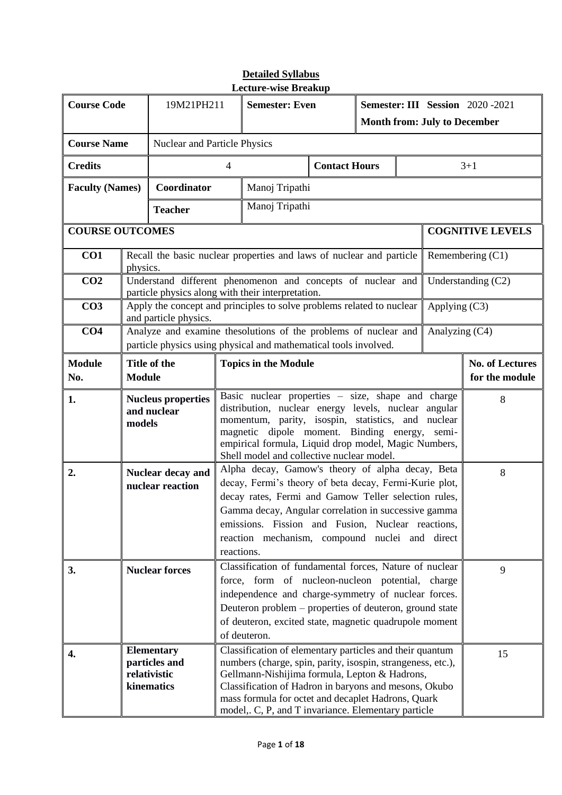| <b>Course Code</b>     |                                                                  | 19M21PH211            |                              | <b>Semester: Even</b>                                                                                                                                                                                                                                                                                                                                      |                      | <b>Semester: III Session</b> 2020-2021<br><b>Month from: July to December</b> |                                          |                |                         |  |
|------------------------|------------------------------------------------------------------|-----------------------|------------------------------|------------------------------------------------------------------------------------------------------------------------------------------------------------------------------------------------------------------------------------------------------------------------------------------------------------------------------------------------------------|----------------------|-------------------------------------------------------------------------------|------------------------------------------|----------------|-------------------------|--|
| <b>Course Name</b>     |                                                                  |                       | Nuclear and Particle Physics |                                                                                                                                                                                                                                                                                                                                                            |                      |                                                                               |                                          |                |                         |  |
| <b>Credits</b>         |                                                                  |                       | $\overline{4}$               |                                                                                                                                                                                                                                                                                                                                                            | <b>Contact Hours</b> |                                                                               |                                          |                | $3 + 1$                 |  |
| <b>Faculty (Names)</b> |                                                                  | Coordinator           |                              | Manoj Tripathi                                                                                                                                                                                                                                                                                                                                             |                      |                                                                               |                                          |                |                         |  |
|                        |                                                                  | <b>Teacher</b>        |                              | Manoj Tripathi                                                                                                                                                                                                                                                                                                                                             |                      |                                                                               |                                          |                |                         |  |
| <b>COURSE OUTCOMES</b> |                                                                  |                       |                              |                                                                                                                                                                                                                                                                                                                                                            |                      |                                                                               |                                          |                | <b>COGNITIVE LEVELS</b> |  |
| CO1                    | physics.                                                         |                       |                              | Recall the basic nuclear properties and laws of nuclear and particle                                                                                                                                                                                                                                                                                       |                      |                                                                               |                                          |                | Remembering $(C1)$      |  |
| CO <sub>2</sub>        |                                                                  |                       |                              | Understand different phenomenon and concepts of nuclear and<br>particle physics along with their interpretation.                                                                                                                                                                                                                                           |                      |                                                                               |                                          |                | Understanding $(C2)$    |  |
| CO <sub>3</sub>        |                                                                  | and particle physics. |                              | Apply the concept and principles to solve problems related to nuclear                                                                                                                                                                                                                                                                                      |                      |                                                                               |                                          | Applying (C3)  |                         |  |
| CO <sub>4</sub>        |                                                                  |                       |                              | Analyze and examine thesolutions of the problems of nuclear and<br>particle physics using physical and mathematical tools involved.                                                                                                                                                                                                                        |                      |                                                                               |                                          | Analyzing (C4) |                         |  |
| <b>Module</b><br>No.   | <b>Module</b>                                                    | Title of the          | <b>Topics in the Module</b>  |                                                                                                                                                                                                                                                                                                                                                            |                      |                                                                               | <b>No. of Lectures</b><br>for the module |                |                         |  |
| 1.                     | <b>Nucleus properties</b><br>and nuclear<br>models               |                       |                              | Basic nuclear properties $-$ size, shape and charge<br>distribution, nuclear energy levels, nuclear angular<br>momentum, parity, isospin, statistics, and nuclear<br>magnetic dipole moment. Binding energy,<br>semi-<br>empirical formula, Liquid drop model, Magic Numbers,<br>Shell model and collective nuclear model.                                 |                      |                                                                               |                                          | 8              |                         |  |
| 2.                     | Nuclear decay and<br>nuclear reaction                            |                       |                              | Alpha decay, Gamow's theory of alpha decay, Beta<br>$\,8\,$<br>decay, Fermi's theory of beta decay, Fermi-Kurie plot,<br>decay rates, Fermi and Gamow Teller selection rules,<br>Gamma decay, Angular correlation in successive gamma<br>emissions. Fission and Fusion, Nuclear reactions,<br>reaction mechanism, compound nuclei and direct<br>reactions. |                      |                                                                               |                                          |                |                         |  |
| 3.                     | <b>Nuclear forces</b>                                            |                       |                              | Classification of fundamental forces, Nature of nuclear<br>force, form of nucleon-nucleon potential, charge<br>independence and charge-symmetry of nuclear forces.<br>Deuteron problem – properties of deuteron, ground state<br>of deuteron, excited state, magnetic quadrupole moment<br>of deuteron.                                                    |                      |                                                                               |                                          | 9              |                         |  |
| 4.                     | <b>Elementary</b><br>particles and<br>relativistic<br>kinematics |                       |                              | Classification of elementary particles and their quantum<br>numbers (charge, spin, parity, isospin, strangeness, etc.),<br>Gellmann-Nishijima formula, Lepton & Hadrons,<br>Classification of Hadron in baryons and mesons, Okubo<br>mass formula for octet and decaplet Hadrons, Quark<br>model,. C, P, and T invariance. Elementary particle             |                      |                                                                               |                                          | 15             |                         |  |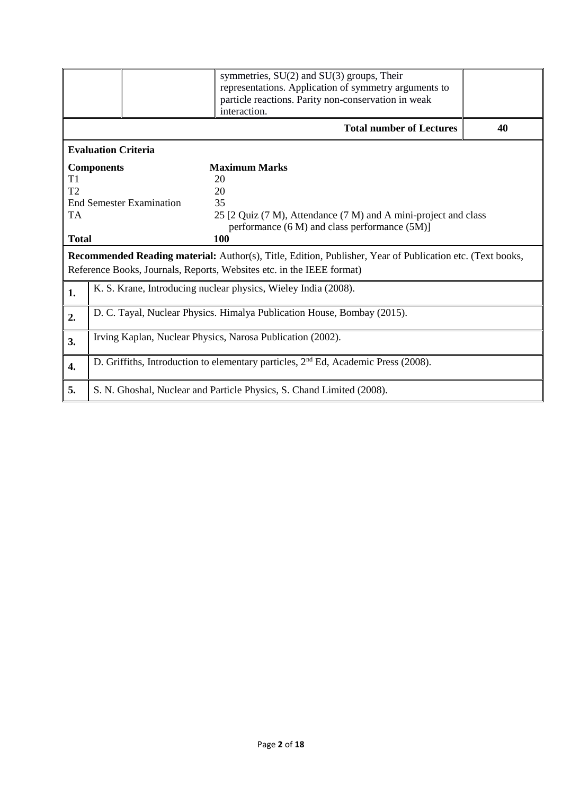|                  | symmetries, $SU(2)$ and $SU(3)$ groups, Their<br>representations. Application of symmetry arguments to<br>particle reactions. Parity non-conservation in weak<br>interaction. |                                                                                                                                                                                           |    |  |  |  |
|------------------|-------------------------------------------------------------------------------------------------------------------------------------------------------------------------------|-------------------------------------------------------------------------------------------------------------------------------------------------------------------------------------------|----|--|--|--|
|                  |                                                                                                                                                                               | <b>Total number of Lectures</b>                                                                                                                                                           | 40 |  |  |  |
|                  | <b>Evaluation Criteria</b>                                                                                                                                                    |                                                                                                                                                                                           |    |  |  |  |
|                  | <b>Components</b>                                                                                                                                                             | <b>Maximum Marks</b>                                                                                                                                                                      |    |  |  |  |
| T1               |                                                                                                                                                                               | 20                                                                                                                                                                                        |    |  |  |  |
| T2               |                                                                                                                                                                               | 20                                                                                                                                                                                        |    |  |  |  |
|                  | <b>End Semester Examination</b>                                                                                                                                               | 35                                                                                                                                                                                        |    |  |  |  |
| <b>TA</b>        | 25 [2 Quiz (7 M), Attendance (7 M) and A mini-project and class                                                                                                               |                                                                                                                                                                                           |    |  |  |  |
|                  |                                                                                                                                                                               | performance (6 M) and class performance (5M)]                                                                                                                                             |    |  |  |  |
| <b>Total</b>     |                                                                                                                                                                               | 100                                                                                                                                                                                       |    |  |  |  |
|                  |                                                                                                                                                                               | <b>Recommended Reading material:</b> Author(s), Title, Edition, Publisher, Year of Publication etc. (Text books,<br>Reference Books, Journals, Reports, Websites etc. in the IEEE format) |    |  |  |  |
| 1.               | K. S. Krane, Introducing nuclear physics, Wieley India (2008).                                                                                                                |                                                                                                                                                                                           |    |  |  |  |
| 2.               | D. C. Tayal, Nuclear Physics. Himalya Publication House, Bombay (2015).                                                                                                       |                                                                                                                                                                                           |    |  |  |  |
| 3.               | Irving Kaplan, Nuclear Physics, Narosa Publication (2002).                                                                                                                    |                                                                                                                                                                                           |    |  |  |  |
| $\overline{4}$ . | D. Griffiths, Introduction to elementary particles, 2 <sup>nd</sup> Ed, Academic Press (2008).                                                                                |                                                                                                                                                                                           |    |  |  |  |
| 5.               |                                                                                                                                                                               | S. N. Ghoshal, Nuclear and Particle Physics, S. Chand Limited (2008).                                                                                                                     |    |  |  |  |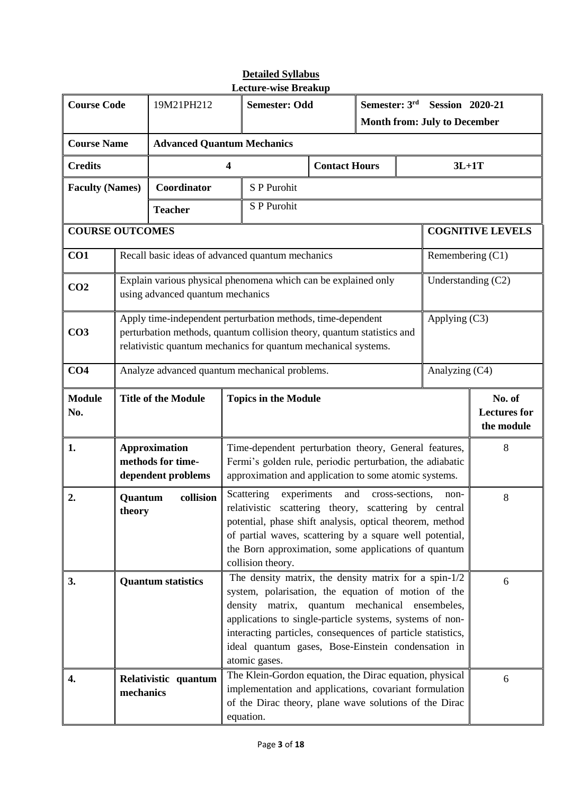| <b>Course Code</b>     |                                                                                                                                                                                                                                                | 19M21PH212                                                                                         |                                                                                                                                                                                                                                                                                                                                                                                                                                     | пссинс-мыс пісакир<br><b>Semester: Odd</b>                                                                                    |                                             | Semester: 3rd<br><b>Session 2020-21</b> |   |                                     |                         |  |
|------------------------|------------------------------------------------------------------------------------------------------------------------------------------------------------------------------------------------------------------------------------------------|----------------------------------------------------------------------------------------------------|-------------------------------------------------------------------------------------------------------------------------------------------------------------------------------------------------------------------------------------------------------------------------------------------------------------------------------------------------------------------------------------------------------------------------------------|-------------------------------------------------------------------------------------------------------------------------------|---------------------------------------------|-----------------------------------------|---|-------------------------------------|-------------------------|--|
|                        |                                                                                                                                                                                                                                                |                                                                                                    |                                                                                                                                                                                                                                                                                                                                                                                                                                     |                                                                                                                               |                                             |                                         |   | <b>Month from: July to December</b> |                         |  |
| <b>Course Name</b>     |                                                                                                                                                                                                                                                | <b>Advanced Quantum Mechanics</b>                                                                  |                                                                                                                                                                                                                                                                                                                                                                                                                                     |                                                                                                                               |                                             |                                         |   |                                     |                         |  |
| <b>Credits</b>         |                                                                                                                                                                                                                                                |                                                                                                    | 4                                                                                                                                                                                                                                                                                                                                                                                                                                   |                                                                                                                               | <b>Contact Hours</b>                        |                                         |   | $3L+1T$                             |                         |  |
| <b>Faculty (Names)</b> |                                                                                                                                                                                                                                                | Coordinator                                                                                        |                                                                                                                                                                                                                                                                                                                                                                                                                                     | S P Purohit                                                                                                                   |                                             |                                         |   |                                     |                         |  |
|                        |                                                                                                                                                                                                                                                | <b>Teacher</b>                                                                                     |                                                                                                                                                                                                                                                                                                                                                                                                                                     | S P Purohit                                                                                                                   |                                             |                                         |   |                                     |                         |  |
| <b>COURSE OUTCOMES</b> |                                                                                                                                                                                                                                                |                                                                                                    |                                                                                                                                                                                                                                                                                                                                                                                                                                     |                                                                                                                               |                                             |                                         |   |                                     | <b>COGNITIVE LEVELS</b> |  |
| CO1                    |                                                                                                                                                                                                                                                | Recall basic ideas of advanced quantum mechanics                                                   |                                                                                                                                                                                                                                                                                                                                                                                                                                     |                                                                                                                               |                                             |                                         |   | Remembering (C1)                    |                         |  |
| CO <sub>2</sub>        |                                                                                                                                                                                                                                                | Explain various physical phenomena which can be explained only<br>using advanced quantum mechanics |                                                                                                                                                                                                                                                                                                                                                                                                                                     |                                                                                                                               |                                             |                                         |   | Understanding (C2)                  |                         |  |
| CO <sub>3</sub>        | Apply time-independent perturbation methods, time-dependent<br>perturbation methods, quantum collision theory, quantum statistics and<br>relativistic quantum mechanics for quantum mechanical systems.                                        |                                                                                                    |                                                                                                                                                                                                                                                                                                                                                                                                                                     |                                                                                                                               |                                             |                                         |   | Applying (C3)                       |                         |  |
| CO <sub>4</sub>        | Analyze advanced quantum mechanical problems.<br>Analyzing (C4)                                                                                                                                                                                |                                                                                                    |                                                                                                                                                                                                                                                                                                                                                                                                                                     |                                                                                                                               |                                             |                                         |   |                                     |                         |  |
| <b>Module</b><br>No.   |                                                                                                                                                                                                                                                | <b>Title of the Module</b><br><b>Topics in the Module</b>                                          |                                                                                                                                                                                                                                                                                                                                                                                                                                     |                                                                                                                               | No. of<br><b>Lectures</b> for<br>the module |                                         |   |                                     |                         |  |
| 1.                     | <b>Approximation</b><br>Time-dependent perturbation theory, General features,<br>methods for time-<br>Fermi's golden rule, periodic perturbation, the adiabatic<br>approximation and application to some atomic systems.<br>dependent problems |                                                                                                    |                                                                                                                                                                                                                                                                                                                                                                                                                                     |                                                                                                                               |                                             |                                         | 8 |                                     |                         |  |
| 2.                     | Quantum<br>theory                                                                                                                                                                                                                              | collision                                                                                          | Scattering<br>experiments<br>and<br>cross-sections,<br>non-<br>$8\,$<br>relativistic<br>scattering theory, scattering by central<br>potential, phase shift analysis, optical theorem, method<br>of partial waves, scattering by a square well potential,<br>the Born approximation, some applications of quantum<br>collision theory.                                                                                               |                                                                                                                               |                                             |                                         |   |                                     |                         |  |
| 3.                     |                                                                                                                                                                                                                                                | <b>Quantum statistics</b>                                                                          | The density matrix, the density matrix for a spin- $1/2$<br>6<br>system, polarisation, the equation of motion of the<br>density matrix, quantum mechanical ensembeles,<br>applications to single-particle systems, systems of non-<br>interacting particles, consequences of particle statistics,<br>ideal quantum gases, Bose-Einstein condensation in<br>atomic gases.<br>The Klein-Gordon equation, the Dirac equation, physical |                                                                                                                               |                                             |                                         |   |                                     |                         |  |
| 4.                     | mechanics                                                                                                                                                                                                                                      | Relativistic quantum                                                                               |                                                                                                                                                                                                                                                                                                                                                                                                                                     | implementation and applications, covariant formulation<br>of the Dirac theory, plane wave solutions of the Dirac<br>equation. |                                             |                                         |   |                                     | 6                       |  |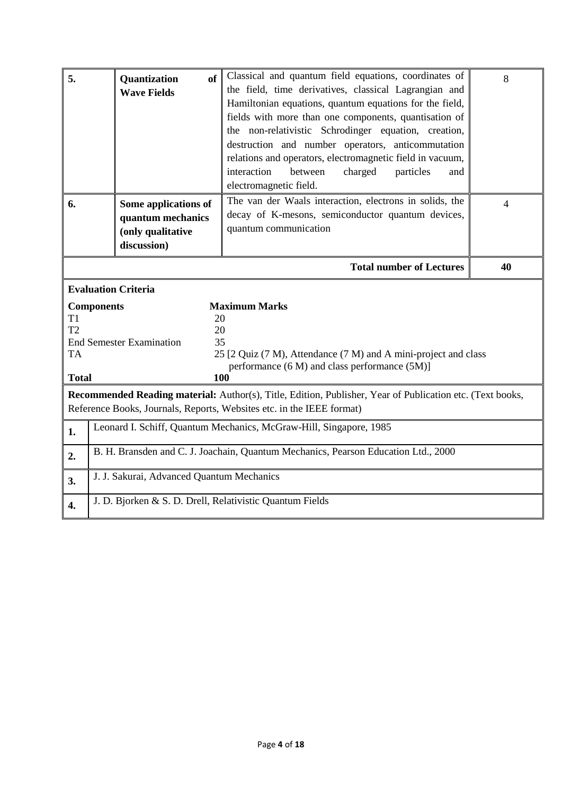| 5.                                                            | Quantization<br>of<br><b>Wave Fields</b>                                                                                                                                                                               | Classical and quantum field equations, coordinates of<br>the field, time derivatives, classical Lagrangian and<br>Hamiltonian equations, quantum equations for the field,<br>fields with more than one components, quantisation of<br>the non-relativistic Schrodinger equation, creation,<br>destruction and number operators, anticommutation<br>relations and operators, electromagnetic field in vacuum,<br>interaction<br>between<br>charged<br>particles<br>and<br>electromagnetic field. | 8 |  |  |  |  |
|---------------------------------------------------------------|------------------------------------------------------------------------------------------------------------------------------------------------------------------------------------------------------------------------|-------------------------------------------------------------------------------------------------------------------------------------------------------------------------------------------------------------------------------------------------------------------------------------------------------------------------------------------------------------------------------------------------------------------------------------------------------------------------------------------------|---|--|--|--|--|
| 6.                                                            | The van der Waals interaction, electrons in solids, the<br>Some applications of<br>decay of K-mesons, semiconductor quantum devices,<br>quantum mechanics<br>quantum communication<br>(only qualitative<br>discussion) |                                                                                                                                                                                                                                                                                                                                                                                                                                                                                                 |   |  |  |  |  |
|                                                               | <b>Total number of Lectures</b><br>40                                                                                                                                                                                  |                                                                                                                                                                                                                                                                                                                                                                                                                                                                                                 |   |  |  |  |  |
|                                                               | <b>Evaluation Criteria</b>                                                                                                                                                                                             |                                                                                                                                                                                                                                                                                                                                                                                                                                                                                                 |   |  |  |  |  |
| T <sub>1</sub><br>T <sub>2</sub><br><b>TA</b><br><b>Total</b> | <b>Components</b><br><b>Maximum Marks</b><br>20<br>20<br><b>End Semester Examination</b><br>35<br>25 [2 Quiz (7 M), Attendance (7 M) and A mini-project and class<br>performance (6 M) and class performance (5M)]     |                                                                                                                                                                                                                                                                                                                                                                                                                                                                                                 |   |  |  |  |  |
|                                                               | 100<br>Recommended Reading material: Author(s), Title, Edition, Publisher, Year of Publication etc. (Text books,                                                                                                       |                                                                                                                                                                                                                                                                                                                                                                                                                                                                                                 |   |  |  |  |  |
|                                                               | Reference Books, Journals, Reports, Websites etc. in the IEEE format)                                                                                                                                                  |                                                                                                                                                                                                                                                                                                                                                                                                                                                                                                 |   |  |  |  |  |
| 1.                                                            | Leonard I. Schiff, Quantum Mechanics, McGraw-Hill, Singapore, 1985                                                                                                                                                     |                                                                                                                                                                                                                                                                                                                                                                                                                                                                                                 |   |  |  |  |  |
| 2.                                                            | B. H. Bransden and C. J. Joachain, Quantum Mechanics, Pearson Education Ltd., 2000                                                                                                                                     |                                                                                                                                                                                                                                                                                                                                                                                                                                                                                                 |   |  |  |  |  |
| 3.                                                            | J. J. Sakurai, Advanced Quantum Mechanics                                                                                                                                                                              |                                                                                                                                                                                                                                                                                                                                                                                                                                                                                                 |   |  |  |  |  |
| $\overline{4}$ .                                              | J. D. Bjorken & S. D. Drell, Relativistic Quantum Fields                                                                                                                                                               |                                                                                                                                                                                                                                                                                                                                                                                                                                                                                                 |   |  |  |  |  |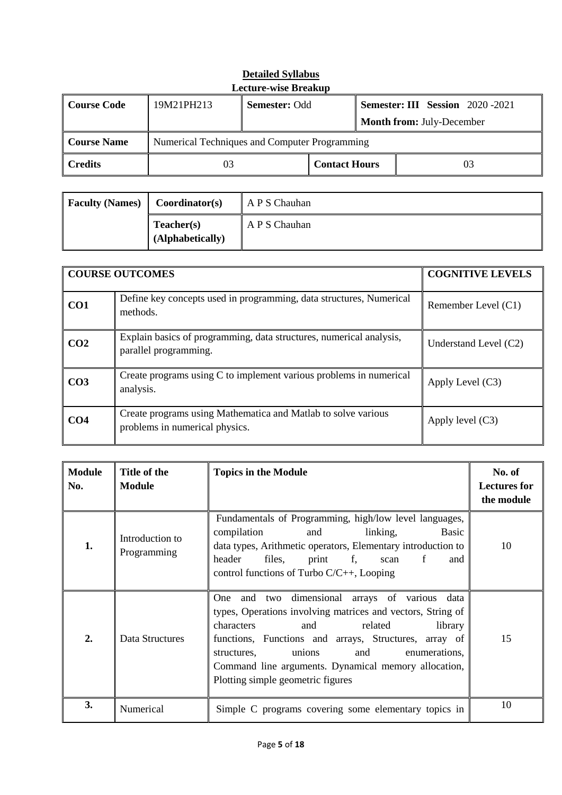| Lecture-wise Breakup |                                               |                                                                 |                      |  |    |  |  |
|----------------------|-----------------------------------------------|-----------------------------------------------------------------|----------------------|--|----|--|--|
| Course Code          | 19M21PH213                                    | <b>Semester: Odd</b><br><b>Semester: III Session</b> 2020 -2021 |                      |  |    |  |  |
|                      |                                               | <b>Month from: July-December</b>                                |                      |  |    |  |  |
| Course Name          | Numerical Techniques and Computer Programming |                                                                 |                      |  |    |  |  |
| <b>Credits</b>       | 03                                            |                                                                 | <b>Contact Hours</b> |  | 03 |  |  |

| <b>Detailed Syllabus</b>    |
|-----------------------------|
| <b>Lecture-wise Breakup</b> |

| <b>Faculty (Names)</b> | Coordinator(s)                 | A P S Chauhan |
|------------------------|--------------------------------|---------------|
|                        | Teacher(s)<br>(Alphabetically) | A P S Chauhan |

|                 | <b>COURSE OUTCOMES</b>                                                                          | <b>COGNITIVE LEVELS</b> |
|-----------------|-------------------------------------------------------------------------------------------------|-------------------------|
| CO1             | Define key concepts used in programming, data structures, Numerical<br>methods.                 | Remember Level (C1)     |
| CO <sub>2</sub> | Explain basics of programming, data structures, numerical analysis,<br>parallel programming.    | Understand Level $(C2)$ |
| CO <sub>3</sub> | Create programs using C to implement various problems in numerical<br>analysis.                 | Apply Level $(C3)$      |
| CO <sub>4</sub> | Create programs using Mathematica and Matlab to solve various<br>problems in numerical physics. | Apply level $(C3)$      |

| <b>Module</b><br>No. | Title of the<br><b>Module</b>  | <b>Topics in the Module</b>                                                                                                                                                                                                                                                                                                                                     | No. of<br><b>Lectures for</b><br>the module |
|----------------------|--------------------------------|-----------------------------------------------------------------------------------------------------------------------------------------------------------------------------------------------------------------------------------------------------------------------------------------------------------------------------------------------------------------|---------------------------------------------|
| 1.                   | Introduction to<br>Programming | Fundamentals of Programming, high/low level languages,<br>compilation<br>and<br>linking,<br>Basic<br>data types, Arithmetic operators, Elementary introduction to<br>header<br>files,<br>f,<br>print<br>f<br>and<br>scan<br>control functions of Turbo $C/C++$ , Looping                                                                                        | 10                                          |
| $\overline{2}$ .     | Data Structures                | One and two dimensional arrays of various data<br>types, Operations involving matrices and vectors, String of<br>related<br>characters<br>and<br>library<br>functions, Functions and arrays, Structures, array of<br>unions<br>and<br>enumerations,<br>structures,<br>Command line arguments. Dynamical memory allocation,<br>Plotting simple geometric figures | 15                                          |
| 3.                   | Numerical                      | Simple C programs covering some elementary topics in                                                                                                                                                                                                                                                                                                            | 10                                          |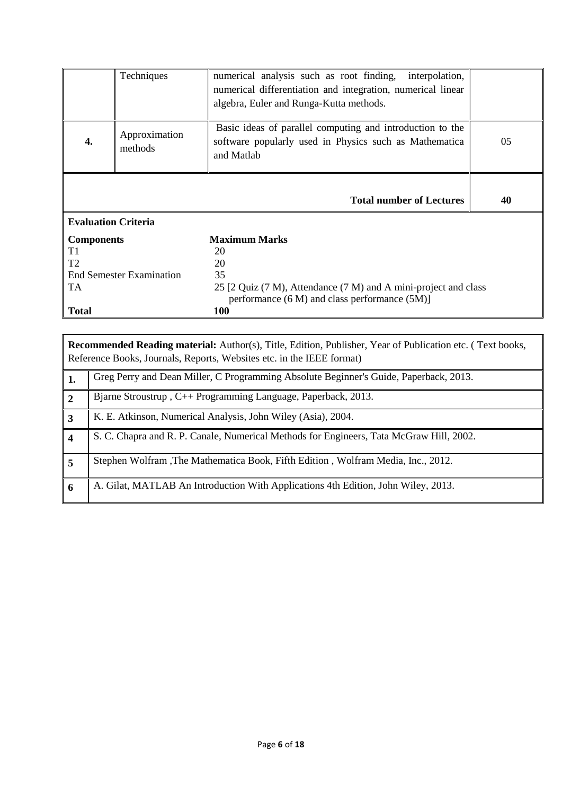|                                 | Techniques                                          | numerical analysis such as root finding,<br>interpolation,<br>numerical differentiation and integration, numerical linear<br>algebra, Euler and Runga-Kutta methods. |    |  |  |  |
|---------------------------------|-----------------------------------------------------|----------------------------------------------------------------------------------------------------------------------------------------------------------------------|----|--|--|--|
|                                 | Approximation<br>methods                            | Basic ideas of parallel computing and introduction to the<br>software popularly used in Physics such as Mathematica<br>and Matlab                                    | 05 |  |  |  |
|                                 |                                                     | <b>Total number of Lectures</b>                                                                                                                                      | 40 |  |  |  |
| <b>Evaluation Criteria</b>      |                                                     |                                                                                                                                                                      |    |  |  |  |
| <b>Components</b>               |                                                     | <b>Maximum Marks</b>                                                                                                                                                 |    |  |  |  |
| T1                              |                                                     | 20                                                                                                                                                                   |    |  |  |  |
| T <sub>2</sub>                  |                                                     | 20                                                                                                                                                                   |    |  |  |  |
| <b>End Semester Examination</b> |                                                     | 35                                                                                                                                                                   |    |  |  |  |
| TA                              |                                                     | 25 [2 Quiz (7 M), Attendance (7 M) and A mini-project and class                                                                                                      |    |  |  |  |
|                                 | performance $(6 M)$ and class performance $(5 M)$ ] |                                                                                                                                                                      |    |  |  |  |
| <b>Total</b>                    |                                                     | 100                                                                                                                                                                  |    |  |  |  |

**Recommended Reading material:** Author(s), Title, Edition, Publisher, Year of Publication etc. ( Text books, Reference Books, Journals, Reports, Websites etc. in the IEEE format)

|                        | Greg Perry and Dean Miller, C Programming Absolute Beginner's Guide, Paperback, 2013.   |
|------------------------|-----------------------------------------------------------------------------------------|
| $\overline{2}$         | Bjarne Stroustrup, C++ Programming Language, Paperback, 2013.                           |
| $\overline{3}$         | K. E. Atkinson, Numerical Analysis, John Wiley (Asia), 2004.                            |
| $\boldsymbol{\Lambda}$ | S. C. Chapra and R. P. Canale, Numerical Methods for Engineers, Tata McGraw Hill, 2002. |
|                        | Stephen Wolfram , The Mathematica Book, Fifth Edition, Wolfram Media, Inc., 2012.       |
| 6                      | A. Gilat, MATLAB An Introduction With Applications 4th Edition, John Wiley, 2013.       |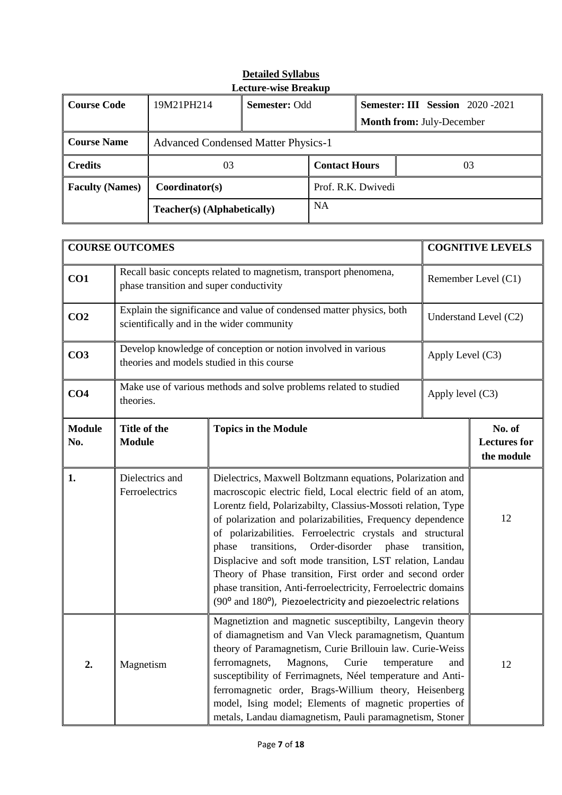| Lecture-wise Breakup   |                             |                                            |                      |                                         |    |  |
|------------------------|-----------------------------|--------------------------------------------|----------------------|-----------------------------------------|----|--|
| Course Code            | 19M21PH214                  | <b>Semester: Odd</b>                       |                      | <b>Semester: III Session</b> 2020 -2021 |    |  |
|                        |                             |                                            |                      | <b>Month from: July-December</b>        |    |  |
| Course Name            |                             | <b>Advanced Condensed Matter Physics-1</b> |                      |                                         |    |  |
| <b>Credits</b>         | 03                          |                                            | <b>Contact Hours</b> |                                         | 03 |  |
| <b>Faculty (Names)</b> | Coordinator(s)              |                                            | Prof. R.K. Dwivedi   |                                         |    |  |
|                        | Teacher(s) (Alphabetically) |                                            | <b>NA</b>            |                                         |    |  |

|                      | <b>COURSE OUTCOMES</b>                                                                                                                                                                                                                                                                                                                                                                                                                                                                                                                                                                                                        |                                                                      |                                             | <b>COGNITIVE LEVELS</b> |
|----------------------|-------------------------------------------------------------------------------------------------------------------------------------------------------------------------------------------------------------------------------------------------------------------------------------------------------------------------------------------------------------------------------------------------------------------------------------------------------------------------------------------------------------------------------------------------------------------------------------------------------------------------------|----------------------------------------------------------------------|---------------------------------------------|-------------------------|
| CO1                  | Recall basic concepts related to magnetism, transport phenomena,<br>phase transition and super conductivity                                                                                                                                                                                                                                                                                                                                                                                                                                                                                                                   |                                                                      |                                             | Remember Level (C1)     |
| CO <sub>2</sub>      | scientifically and in the wider community                                                                                                                                                                                                                                                                                                                                                                                                                                                                                                                                                                                     | Explain the significance and value of condensed matter physics, both |                                             | Understand Level (C2)   |
| CO <sub>3</sub>      | theories and models studied in this course                                                                                                                                                                                                                                                                                                                                                                                                                                                                                                                                                                                    | Develop knowledge of conception or notion involved in various        | Apply Level (C3)                            |                         |
| CO <sub>4</sub>      | theories.                                                                                                                                                                                                                                                                                                                                                                                                                                                                                                                                                                                                                     | Make use of various methods and solve problems related to studied    | Apply level (C3)                            |                         |
| <b>Module</b><br>No. | <b>Title of the</b><br><b>Module</b>                                                                                                                                                                                                                                                                                                                                                                                                                                                                                                                                                                                          | <b>Topics in the Module</b>                                          | No. of<br><b>Lectures for</b><br>the module |                         |
| 1.                   | Dielectrics and<br>Dielectrics, Maxwell Boltzmann equations, Polarization and<br>Ferroelectrics<br>macroscopic electric field, Local electric field of an atom,<br>Lorentz field, Polarizabilty, Classius-Mossoti relation, Type<br>12<br>of polarization and polarizabilities, Frequency dependence<br>of polarizabilities. Ferroelectric crystals and structural<br>phase<br>transitions,<br>Order-disorder phase<br>transition,<br>Displacive and soft mode transition, LST relation, Landau<br>Theory of Phase transition, First order and second order<br>phase transition, Anti-ferroelectricity, Ferroelectric domains |                                                                      |                                             |                         |
| 2.                   | (90° and 180°), Piezoelectricity and piezoelectric relations<br>Magnetiztion and magnetic susceptibilty, Langevin theory<br>of diamagnetism and Van Vleck paramagnetism, Quantum<br>theory of Paramagnetism, Curie Brillouin law. Curie-Weiss<br>ferromagnets,<br>Magnons,<br>Curie<br>temperature<br>and<br>Magnetism<br>susceptibility of Ferrimagnets, Néel temperature and Anti-<br>ferromagnetic order, Brags-Willium theory, Heisenberg<br>model, Ising model; Elements of magnetic properties of<br>metals, Landau diamagnetism, Pauli paramagnetism, Stoner                                                           |                                                                      |                                             | 12                      |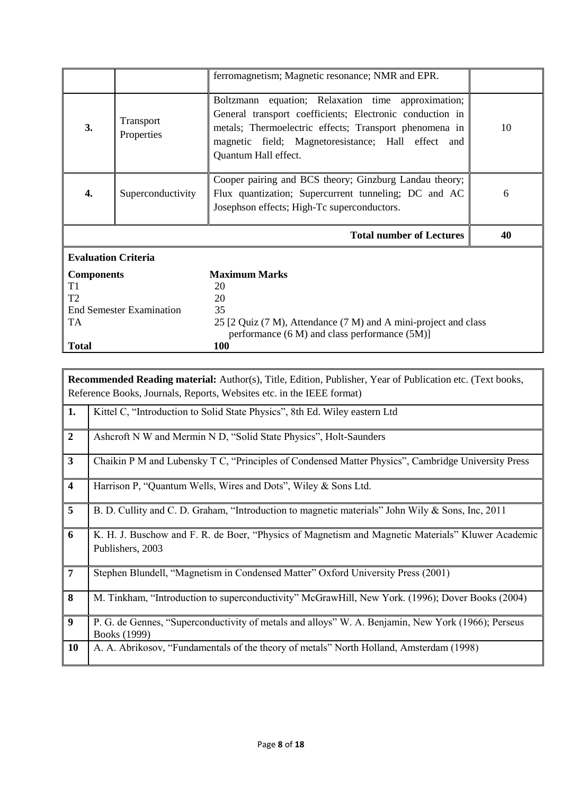|                                                                                                                                                                                                                                                                                             |                         | ferromagnetism; Magnetic resonance; NMR and EPR.                                                                                                                                                                                                             |    |
|---------------------------------------------------------------------------------------------------------------------------------------------------------------------------------------------------------------------------------------------------------------------------------------------|-------------------------|--------------------------------------------------------------------------------------------------------------------------------------------------------------------------------------------------------------------------------------------------------------|----|
| 3.                                                                                                                                                                                                                                                                                          | Transport<br>Properties | Boltzmann equation; Relaxation time approximation;<br>General transport coefficients; Electronic conduction in<br>metals; Thermoelectric effects; Transport phenomena in<br>10<br>magnetic field; Magnetoresistance; Hall effect and<br>Quantum Hall effect. |    |
| Superconductivity<br>4.                                                                                                                                                                                                                                                                     |                         | Cooper pairing and BCS theory; Ginzburg Landau theory;<br>Flux quantization; Supercurrent tunneling; DC and AC<br>Josephson effects; High-Tc superconductors.                                                                                                | 6  |
|                                                                                                                                                                                                                                                                                             |                         | <b>Total number of Lectures</b>                                                                                                                                                                                                                              | 40 |
| <b>Evaluation Criteria</b>                                                                                                                                                                                                                                                                  |                         |                                                                                                                                                                                                                                                              |    |
| <b>Maximum Marks</b><br><b>Components</b><br>T1<br>20<br>T <sub>2</sub><br>20<br>35<br><b>End Semester Examination</b><br><b>TA</b><br>25 [2 Quiz (7 M), Attendance (7 M) and A mini-project and class<br>performance $(6 M)$ and class performance $(5 M)$ ]<br><b>Total</b><br><b>100</b> |                         |                                                                                                                                                                                                                                                              |    |

|                         | <b>Recommended Reading material:</b> Author(s), Title, Edition, Publisher, Year of Publication etc. (Text books,<br>Reference Books, Journals, Reports, Websites etc. in the IEEE format) |
|-------------------------|-------------------------------------------------------------------------------------------------------------------------------------------------------------------------------------------|
| 1.                      | Kittel C, "Introduction to Solid State Physics", 8th Ed. Wiley eastern Ltd                                                                                                                |
| $\boldsymbol{2}$        | Ashcroft N W and Mermin N D, "Solid State Physics", Holt-Saunders                                                                                                                         |
| $\mathbf{3}$            | Chaikin P M and Lubensky T C, "Principles of Condensed Matter Physics", Cambridge University Press                                                                                        |
| $\overline{\mathbf{4}}$ | Harrison P, "Quantum Wells, Wires and Dots", Wiley & Sons Ltd.                                                                                                                            |
| 5                       | B. D. Cullity and C. D. Graham, "Introduction to magnetic materials" John Wily & Sons, Inc, 2011                                                                                          |
| 6                       | K. H. J. Buschow and F. R. de Boer, "Physics of Magnetism and Magnetic Materials" Kluwer Academic<br>Publishers, 2003                                                                     |
| $\overline{7}$          | Stephen Blundell, "Magnetism in Condensed Matter" Oxford University Press (2001)                                                                                                          |
| 8                       | M. Tinkham, "Introduction to superconductivity" McGrawHill, New York. (1996); Dover Books (2004)                                                                                          |
| $\boldsymbol{9}$        | P. G. de Gennes, "Superconductivity of metals and alloys" W. A. Benjamin, New York (1966); Perseus<br>Books (1999)                                                                        |
| <b>10</b>               | A. A. Abrikosov, "Fundamentals of the theory of metals" North Holland, Amsterdam (1998)                                                                                                   |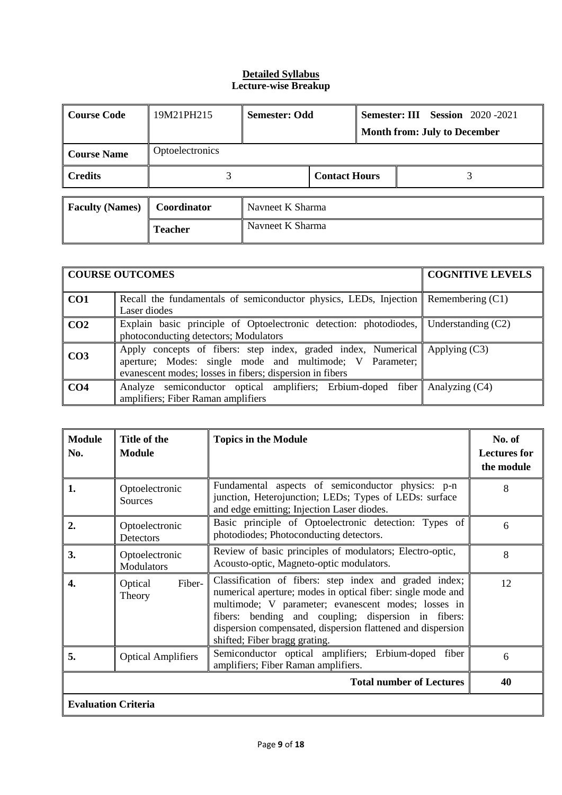| Course Code            | 19M21PH215                         | <b>Semester: Odd</b> |  |  | <b>Semester: III Session</b> 2020 -2021 |
|------------------------|------------------------------------|----------------------|--|--|-----------------------------------------|
|                        |                                    |                      |  |  | <b>Month from: July to December</b>     |
| Course Name            | <b>Optoelectronics</b>             |                      |  |  |                                         |
| <b>Credits</b>         |                                    | <b>Contact Hours</b> |  |  |                                         |
|                        |                                    |                      |  |  |                                         |
| <b>Faculty (Names)</b> | <b>Coordinator</b>                 | Navneet K Sharma     |  |  |                                         |
|                        | Navneet K Sharma<br><b>Teacher</b> |                      |  |  |                                         |

|                 | <b>COURSE OUTCOMES</b>                                                                                                                                                                                          | <b>COGNITIVE LEVELS</b> |  |  |
|-----------------|-----------------------------------------------------------------------------------------------------------------------------------------------------------------------------------------------------------------|-------------------------|--|--|
| CO1             | Recall the fundamentals of semiconductor physics, LEDs, Injection $\parallel$ Remembering (C1)<br>Laser diodes                                                                                                  |                         |  |  |
| CO <sub>2</sub> | Explain basic principle of Optoelectronic detection: photodiodes, Understanding $(C2)$<br>photoconducting detectors; Modulators                                                                                 |                         |  |  |
| CO <sub>3</sub> | Apply concepts of fibers: step index, graded index, Numerical $\parallel$ Applying (C3)<br>aperture; Modes: single mode and multimode; V Parameter;<br>evanescent modes; losses in fibers; dispersion in fibers |                         |  |  |
| CO <sub>4</sub> | Analyze semiconductor optical amplifiers; Erbium-doped fiber Analyzing (C4)<br>amplifiers; Fiber Raman amplifiers                                                                                               |                         |  |  |

| <b>Module</b><br>No.            | Title of the<br><b>Module</b>    | <b>Topics in the Module</b>                                                                                                                                                                                                                                                                                                         | No. of<br><b>Lectures for</b><br>the module |  |  |
|---------------------------------|----------------------------------|-------------------------------------------------------------------------------------------------------------------------------------------------------------------------------------------------------------------------------------------------------------------------------------------------------------------------------------|---------------------------------------------|--|--|
| 1.                              | Optoelectronic<br><b>Sources</b> | Fundamental aspects of semiconductor physics: p-n<br>junction, Heterojunction; LEDs; Types of LEDs: surface<br>and edge emitting; Injection Laser diodes.                                                                                                                                                                           | 8                                           |  |  |
| $\overline{2}$ .                | Optoelectronic<br>Detectors      | Basic principle of Optoelectronic detection: Types of<br>photodiodes; Photoconducting detectors.                                                                                                                                                                                                                                    | 6                                           |  |  |
| 3.                              | Optoelectronic<br>Modulators     | Review of basic principles of modulators; Electro-optic,<br>Acousto-optic, Magneto-optic modulators.                                                                                                                                                                                                                                | 8                                           |  |  |
| 4.                              | Fiber-<br>Optical<br>Theory      | Classification of fibers: step index and graded index;<br>numerical aperture; modes in optical fiber: single mode and<br>multimode; V parameter; evanescent modes; losses in<br>fibers: bending and coupling; dispersion in fibers:<br>dispersion compensated, dispersion flattened and dispersion<br>shifted; Fiber bragg grating. | 12                                          |  |  |
| 5.                              | <b>Optical Amplifiers</b>        | Semiconductor optical amplifiers; Erbium-doped fiber<br>amplifiers; Fiber Raman amplifiers.                                                                                                                                                                                                                                         | 6                                           |  |  |
| <b>Total number of Lectures</b> |                                  |                                                                                                                                                                                                                                                                                                                                     |                                             |  |  |
|                                 | <b>Evaluation Criteria</b>       |                                                                                                                                                                                                                                                                                                                                     |                                             |  |  |

ı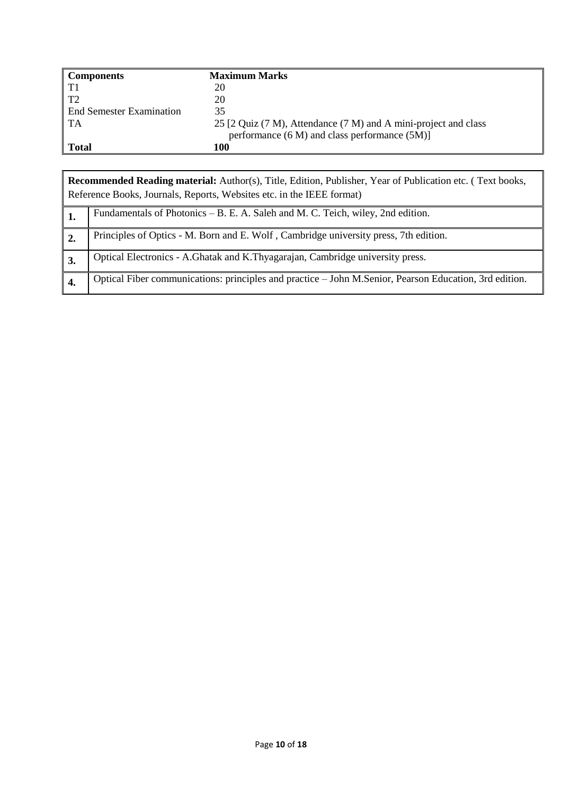| <b>Components</b>               | <b>Maximum Marks</b>                                            |
|---------------------------------|-----------------------------------------------------------------|
| T1                              | 20                                                              |
| T2                              | 20                                                              |
| <b>End Semester Examination</b> | 35                                                              |
| TA                              | 25 [2 Quiz (7 M), Attendance (7 M) and A mini-project and class |
|                                 | performance $(6 M)$ and class performance $(5 M)$ ]             |
| <b>Total</b>                    | 100                                                             |

| <b>Recommended Reading material:</b> Author(s), Title, Edition, Publisher, Year of Publication etc. (Text books,<br>Reference Books, Journals, Reports, Websites etc. in the IEEE format) |  |  |
|-------------------------------------------------------------------------------------------------------------------------------------------------------------------------------------------|--|--|
| Fundamentals of Photonics – B. E. A. Saleh and M. C. Teich, wiley, 2nd edition.                                                                                                           |  |  |
| Principles of Optics - M. Born and E. Wolf, Cambridge university press, 7th edition.                                                                                                      |  |  |
| Optical Electronics - A.Ghatak and K.Thyagarajan, Cambridge university press.                                                                                                             |  |  |
| Optical Fiber communications: principles and practice - John M.Senior, Pearson Education, 3rd edition.                                                                                    |  |  |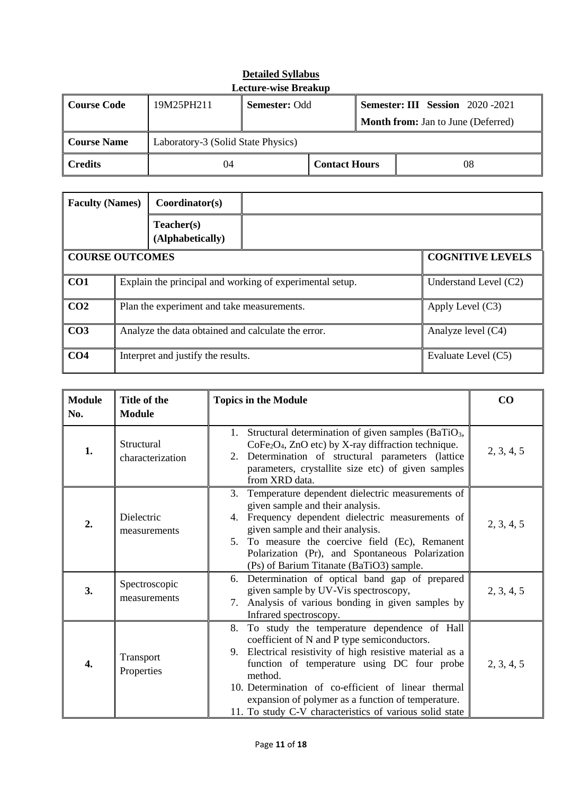| <b>Lecture-wise Breakup</b> |                                    |                                                                |  |  |                                           |  |
|-----------------------------|------------------------------------|----------------------------------------------------------------|--|--|-------------------------------------------|--|
| Course Code                 | 19M25PH211                         | <b>Semester: III Session</b> 2020-2021<br><b>Semester: Odd</b> |  |  |                                           |  |
|                             |                                    |                                                                |  |  | <b>Month from:</b> Jan to June (Deferred) |  |
| Course Name                 | Laboratory-3 (Solid State Physics) |                                                                |  |  |                                           |  |
| <b>Credits</b>              | <b>Contact Hours</b><br>08<br>04   |                                                                |  |  |                                           |  |

| <b>Faculty (Names)</b> | Coordinator(s)                                                   |                         |
|------------------------|------------------------------------------------------------------|-------------------------|
|                        | Teacher(s)<br>(Alphabetically)                                   |                         |
|                        | <b>COURSE OUTCOMES</b>                                           | <b>COGNITIVE LEVELS</b> |
| CO1                    | Explain the principal and working of experimental setup.         | Understand Level (C2)   |
| CO <sub>2</sub>        | Plan the experiment and take measurements.<br>Apply Level $(C3)$ |                         |
| CO <sub>3</sub>        | Analyze the data obtained and calculate the error.               | Analyze level (C4)      |
| CO <sub>4</sub>        | Interpret and justify the results.                               | Evaluate Level (C5)     |

| <b>Module</b><br>No. | Title of the<br><b>Module</b>  | <b>Topics in the Module</b>                                                                                                                                                                                                                                                                                                                                                                        | $\bf CO$   |
|----------------------|--------------------------------|----------------------------------------------------------------------------------------------------------------------------------------------------------------------------------------------------------------------------------------------------------------------------------------------------------------------------------------------------------------------------------------------------|------------|
| 1.                   | Structural<br>characterization | Structural determination of given samples (BaTiO <sub>3</sub> ,<br>1.<br>$CoFe2O4$ , ZnO etc) by X-ray diffraction technique.<br>Determination of structural parameters (lattice<br>2.<br>parameters, crystallite size etc) of given samples<br>from XRD data.                                                                                                                                     | 2, 3, 4, 5 |
| 2.                   | Dielectric<br>measurements     | Temperature dependent dielectric measurements of<br>3.<br>given sample and their analysis.<br>Frequency dependent dielectric measurements of<br>4.<br>given sample and their analysis.<br>5. To measure the coercive field (Ec), Remanent<br>Polarization (Pr), and Spontaneous Polarization<br>(Ps) of Barium Titanate (BaTiO3) sample.                                                           | 2, 3, 4, 5 |
| 3.                   | Spectroscopic<br>measurements  | Determination of optical band gap of prepared<br>6.<br>given sample by UV-Vis spectroscopy,<br>Analysis of various bonding in given samples by<br>$7_{\scriptscriptstyle{\ddots}}$<br>Infrared spectroscopy.                                                                                                                                                                                       | 2, 3, 4, 5 |
| 4.                   | Transport<br>Properties        | To study the temperature dependence of Hall<br>8.<br>coefficient of N and P type semiconductors.<br>Electrical resistivity of high resistive material as a<br>9.<br>function of temperature using DC four probe<br>method.<br>10. Determination of co-efficient of linear thermal<br>expansion of polymer as a function of temperature.<br>11. To study C-V characteristics of various solid state | 2, 3, 4, 5 |

# **Detailed Syllabus**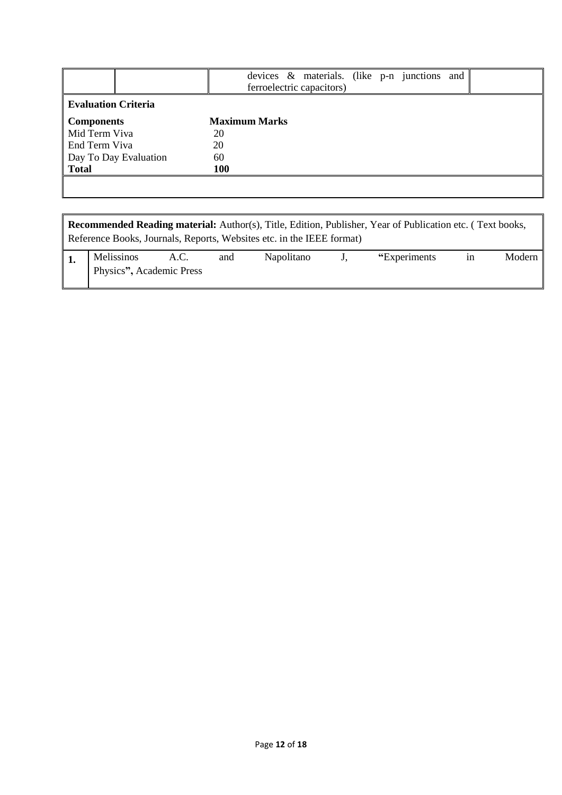|                            | devices & materials. (like p-n junctions and<br>ferroelectric capacitors) |
|----------------------------|---------------------------------------------------------------------------|
| <b>Evaluation Criteria</b> |                                                                           |
| <b>Components</b>          | <b>Maximum Marks</b>                                                      |
| Mid Term Viva              | 20                                                                        |
| End Term Viva              | 20                                                                        |
| Day To Day Evaluation      | 60                                                                        |
| <b>Total</b>               | 100                                                                       |
|                            |                                                                           |
|                            |                                                                           |

| <b>Recommended Reading material:</b> Author(s), Title, Edition, Publisher, Year of Publication etc. (Text books,<br>Reference Books, Journals, Reports, Websites etc. in the IEEE format) |                          |  |     |            |             |               |    |        |  |  |
|-------------------------------------------------------------------------------------------------------------------------------------------------------------------------------------------|--------------------------|--|-----|------------|-------------|---------------|----|--------|--|--|
|                                                                                                                                                                                           | Melissinos A.C.          |  | and | Napolitano | $J_{\star}$ | "Experiments" | 1n | Modern |  |  |
|                                                                                                                                                                                           | Physics", Academic Press |  |     |            |             |               |    |        |  |  |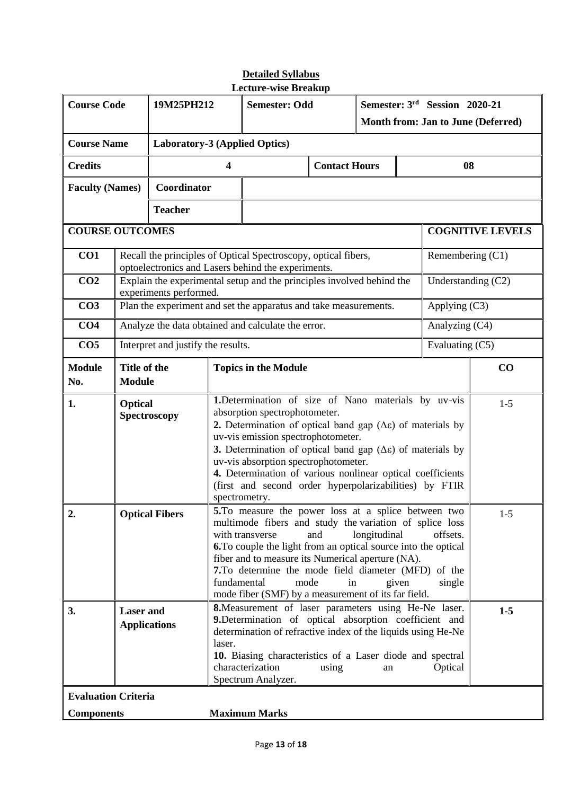| <b>Course Code</b>                                      |                                                                                                                                                                                                                                                                                                                                                                                                                                                                                                              | 19M25PH212                                                                                                                                                                                                                                                                                                                                                                                                                                                                                  |                                                                                                                                                                                                                                                                                                              | <b>Semester: Odd</b>                                                                                                 |                      | Semester: 3rd Session 2020-21<br>Month from: Jan to June (Deferred) |       |                      |                         |
|---------------------------------------------------------|--------------------------------------------------------------------------------------------------------------------------------------------------------------------------------------------------------------------------------------------------------------------------------------------------------------------------------------------------------------------------------------------------------------------------------------------------------------------------------------------------------------|---------------------------------------------------------------------------------------------------------------------------------------------------------------------------------------------------------------------------------------------------------------------------------------------------------------------------------------------------------------------------------------------------------------------------------------------------------------------------------------------|--------------------------------------------------------------------------------------------------------------------------------------------------------------------------------------------------------------------------------------------------------------------------------------------------------------|----------------------------------------------------------------------------------------------------------------------|----------------------|---------------------------------------------------------------------|-------|----------------------|-------------------------|
| <b>Course Name</b>                                      |                                                                                                                                                                                                                                                                                                                                                                                                                                                                                                              | <b>Laboratory-3 (Applied Optics)</b>                                                                                                                                                                                                                                                                                                                                                                                                                                                        |                                                                                                                                                                                                                                                                                                              |                                                                                                                      |                      |                                                                     |       |                      |                         |
| <b>Credits</b>                                          |                                                                                                                                                                                                                                                                                                                                                                                                                                                                                                              | 4                                                                                                                                                                                                                                                                                                                                                                                                                                                                                           |                                                                                                                                                                                                                                                                                                              |                                                                                                                      | <b>Contact Hours</b> |                                                                     |       | 08                   |                         |
| <b>Faculty (Names)</b>                                  |                                                                                                                                                                                                                                                                                                                                                                                                                                                                                                              | Coordinator                                                                                                                                                                                                                                                                                                                                                                                                                                                                                 |                                                                                                                                                                                                                                                                                                              |                                                                                                                      |                      |                                                                     |       |                      |                         |
| <b>Teacher</b>                                          |                                                                                                                                                                                                                                                                                                                                                                                                                                                                                                              |                                                                                                                                                                                                                                                                                                                                                                                                                                                                                             |                                                                                                                                                                                                                                                                                                              |                                                                                                                      |                      |                                                                     |       |                      |                         |
| <b>COURSE OUTCOMES</b>                                  |                                                                                                                                                                                                                                                                                                                                                                                                                                                                                                              |                                                                                                                                                                                                                                                                                                                                                                                                                                                                                             |                                                                                                                                                                                                                                                                                                              |                                                                                                                      |                      |                                                                     |       |                      | <b>COGNITIVE LEVELS</b> |
| CO1                                                     |                                                                                                                                                                                                                                                                                                                                                                                                                                                                                                              |                                                                                                                                                                                                                                                                                                                                                                                                                                                                                             |                                                                                                                                                                                                                                                                                                              | Recall the principles of Optical Spectroscopy, optical fibers,<br>optoelectronics and Lasers behind the experiments. |                      |                                                                     |       | Remembering (C1)     |                         |
| CO <sub>2</sub>                                         |                                                                                                                                                                                                                                                                                                                                                                                                                                                                                                              | experiments performed.                                                                                                                                                                                                                                                                                                                                                                                                                                                                      |                                                                                                                                                                                                                                                                                                              | Explain the experimental setup and the principles involved behind the                                                |                      |                                                                     |       | Understanding $(C2)$ |                         |
| CO <sub>3</sub>                                         |                                                                                                                                                                                                                                                                                                                                                                                                                                                                                                              |                                                                                                                                                                                                                                                                                                                                                                                                                                                                                             |                                                                                                                                                                                                                                                                                                              | Plan the experiment and set the apparatus and take measurements.                                                     |                      |                                                                     |       | Applying (C3)        |                         |
| CO <sub>4</sub>                                         |                                                                                                                                                                                                                                                                                                                                                                                                                                                                                                              |                                                                                                                                                                                                                                                                                                                                                                                                                                                                                             |                                                                                                                                                                                                                                                                                                              | Analyze the data obtained and calculate the error.                                                                   |                      |                                                                     |       | Analyzing (C4)       |                         |
| CO <sub>5</sub>                                         |                                                                                                                                                                                                                                                                                                                                                                                                                                                                                                              | Interpret and justify the results.                                                                                                                                                                                                                                                                                                                                                                                                                                                          |                                                                                                                                                                                                                                                                                                              |                                                                                                                      |                      |                                                                     |       | Evaluating (C5)      |                         |
| <b>Module</b><br>No.                                    | Title of the<br><b>Module</b>                                                                                                                                                                                                                                                                                                                                                                                                                                                                                |                                                                                                                                                                                                                                                                                                                                                                                                                                                                                             | <b>Topics in the Module</b>                                                                                                                                                                                                                                                                                  |                                                                                                                      |                      |                                                                     | CO    |                      |                         |
| 1.                                                      |                                                                                                                                                                                                                                                                                                                                                                                                                                                                                                              | 1. Determination of size of Nano materials by uv-vis<br><b>Optical</b><br>absorption spectrophotometer.<br>Spectroscopy<br>2. Determination of optical band gap $(\Delta \varepsilon)$ of materials by<br>uv-vis emission spectrophotometer.<br>3. Determination of optical band gap $(\Delta \varepsilon)$ of materials by<br>uv-vis absorption spectrophotometer.<br>4. Determination of various nonlinear optical coefficients<br>(first and second order hyperpolarizabilities) by FTIR |                                                                                                                                                                                                                                                                                                              |                                                                                                                      |                      |                                                                     | $1-5$ |                      |                         |
| $\overline{2}$                                          | spectrometry.<br>5. To measure the power loss at a splice between two<br><b>Optical Fibers</b><br>multimode fibers and study the variation of splice loss<br>with transverse<br>longitudinal<br>and<br>offsets.<br><b>6.</b> To couple the light from an optical source into the optical<br>fiber and to measure its Numerical aperture (NA).<br>7. To determine the mode field diameter (MFD) of the<br>fundamental<br>mode<br>in<br>given<br>single<br>mode fiber (SMF) by a measurement of its far field. |                                                                                                                                                                                                                                                                                                                                                                                                                                                                                             |                                                                                                                                                                                                                                                                                                              |                                                                                                                      |                      | $1-5$                                                               |       |                      |                         |
| 3.<br><b>Laser</b> and<br><b>Applications</b><br>laser. |                                                                                                                                                                                                                                                                                                                                                                                                                                                                                                              |                                                                                                                                                                                                                                                                                                                                                                                                                                                                                             | <b>8.</b> Measurement of laser parameters using He-Ne laser.<br>9. Determination of optical absorption coefficient and<br>determination of refractive index of the liquids using He-Ne<br>10. Biasing characteristics of a Laser diode and spectral<br>characterization<br>using<br>an<br>Spectrum Analyzer. |                                                                                                                      |                      | Optical                                                             | $1-5$ |                      |                         |
| <b>Evaluation Criteria</b><br><b>Components</b>         |                                                                                                                                                                                                                                                                                                                                                                                                                                                                                                              |                                                                                                                                                                                                                                                                                                                                                                                                                                                                                             |                                                                                                                                                                                                                                                                                                              | <b>Maximum Marks</b>                                                                                                 |                      |                                                                     |       |                      |                         |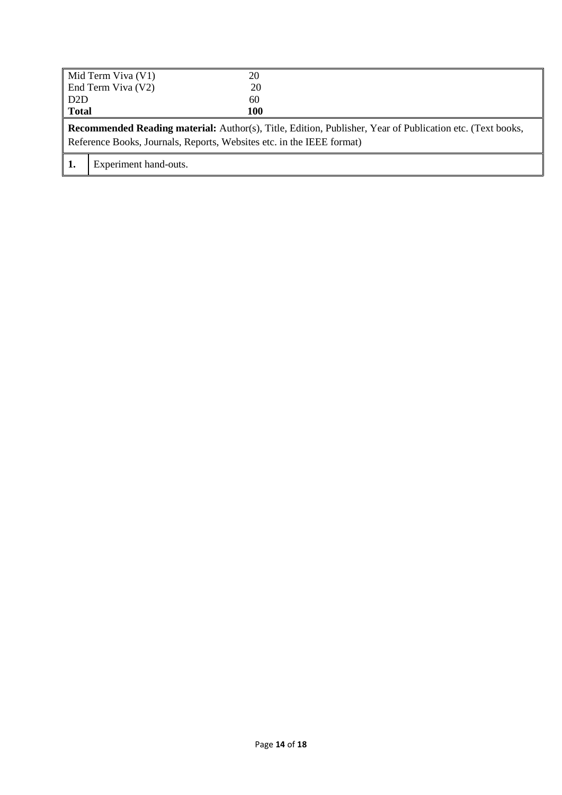|                                                                                                                                                                                           | $\vert$ Mid Term Viva (V1) | 20  |  |  |  |  |
|-------------------------------------------------------------------------------------------------------------------------------------------------------------------------------------------|----------------------------|-----|--|--|--|--|
|                                                                                                                                                                                           | End Term Viva (V2)         | 20  |  |  |  |  |
| $\overline{D2D}$                                                                                                                                                                          |                            | 60  |  |  |  |  |
| <b>Total</b>                                                                                                                                                                              |                            | 100 |  |  |  |  |
| <b>Recommended Reading material:</b> Author(s), Title, Edition, Publisher, Year of Publication etc. (Text books,<br>Reference Books, Journals, Reports, Websites etc. in the IEEE format) |                            |     |  |  |  |  |
|                                                                                                                                                                                           |                            |     |  |  |  |  |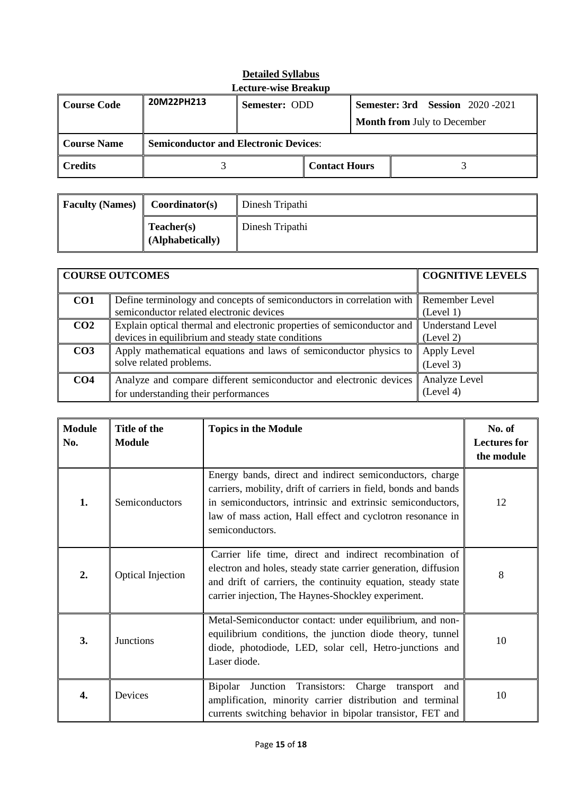| Course Code         | 20M22PH213 | Semester: ODD                                |                      |  |  |                                    | <b>Semester: 3rd</b> Session 2020-2021 |
|---------------------|------------|----------------------------------------------|----------------------|--|--|------------------------------------|----------------------------------------|
|                     |            |                                              |                      |  |  | <b>Month from July to December</b> |                                        |
| Course Name         |            | <b>Semiconductor and Electronic Devices:</b> |                      |  |  |                                    |                                        |
| $\parallel$ Credits |            |                                              | <b>Contact Hours</b> |  |  |                                    |                                        |

| <b>Faculty (Names)</b> | Coordinator(s)                 | Dinesh Tripathi |
|------------------------|--------------------------------|-----------------|
|                        | Teacher(s)<br>(Alphabetically) | Dinesh Tripathi |

|                 | <b>COURSE OUTCOMES</b>                                                                                                           | <b>COGNITIVE LEVELS</b>              |
|-----------------|----------------------------------------------------------------------------------------------------------------------------------|--------------------------------------|
| CO <sub>1</sub> | Define terminology and concepts of semiconductors in correlation with Remember Level<br>semiconductor related electronic devices | (Level 1)                            |
| CO <sub>2</sub> | Explain optical thermal and electronic properties of semiconductor and<br>devices in equilibrium and steady state conditions     | <b>Understand Level</b><br>(Level 2) |
| CO <sub>3</sub> | Apply mathematical equations and laws of semiconductor physics to<br>solve related problems.                                     | Apply Level<br>(Level 3)             |
| CO <sub>4</sub> | Analyze and compare different semiconductor and electronic devices<br>for understanding their performances                       | Analyze Level<br>(Level 4)           |

| <b>Module</b><br>No. | Title of the<br><b>Module</b> | <b>Topics in the Module</b>                                                                                                                                                                                                                                                | No. of<br><b>Lectures for</b><br>the module |
|----------------------|-------------------------------|----------------------------------------------------------------------------------------------------------------------------------------------------------------------------------------------------------------------------------------------------------------------------|---------------------------------------------|
| 1.                   | Semiconductors                | Energy bands, direct and indirect semiconductors, charge<br>carriers, mobility, drift of carriers in field, bonds and bands<br>in semiconductors, intrinsic and extrinsic semiconductors,<br>law of mass action, Hall effect and cyclotron resonance in<br>semiconductors. | 12                                          |
| 2.                   | <b>Optical Injection</b>      | Carrier life time, direct and indirect recombination of<br>electron and holes, steady state carrier generation, diffusion<br>and drift of carriers, the continuity equation, steady state<br>carrier injection, The Haynes-Shockley experiment.                            | 8                                           |
| 3.                   | Junctions                     | Metal-Semiconductor contact: under equilibrium, and non-<br>equilibrium conditions, the junction diode theory, tunnel<br>diode, photodiode, LED, solar cell, Hetro-junctions and<br>Laser diode.                                                                           | 10                                          |
| 4.                   | Devices                       | Transistors:<br><b>Bipolar</b><br>Charge<br>Junction<br>transport<br>and<br>amplification, minority carrier distribution and terminal<br>currents switching behavior in bipolar transistor, FET and                                                                        | 10                                          |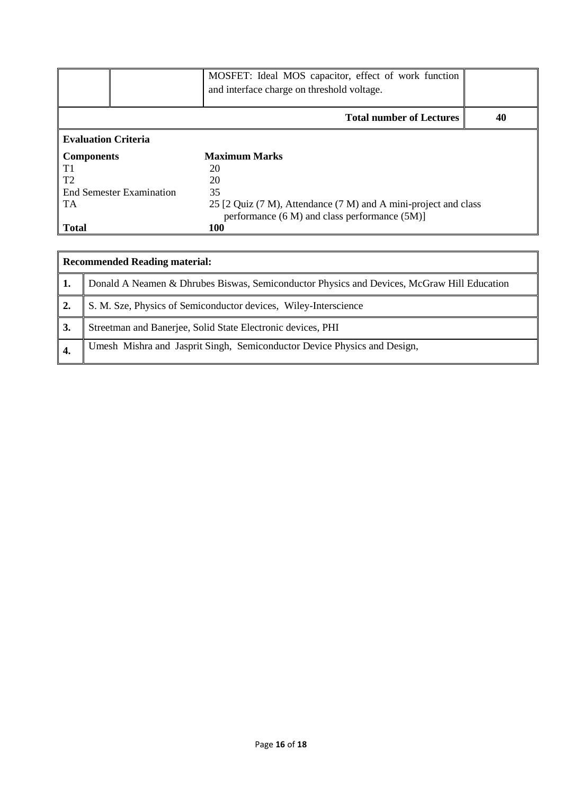|                                 | MOSFET: Ideal MOS capacitor, effect of work function<br>and interface charge on threshold voltage. |    |
|---------------------------------|----------------------------------------------------------------------------------------------------|----|
|                                 | <b>Total number of Lectures</b>                                                                    | 40 |
| <b>Evaluation Criteria</b>      |                                                                                                    |    |
| <b>Components</b>               | <b>Maximum Marks</b>                                                                               |    |
| T1                              | 20                                                                                                 |    |
| T2                              | 20                                                                                                 |    |
| <b>End Semester Examination</b> | 35                                                                                                 |    |
| <b>TA</b>                       | 25 [2 Quiz (7 M), Attendance (7 M) and A mini-project and class                                    |    |
|                                 | performance (6 M) and class performance (5M)]                                                      |    |
| <b>Total</b>                    | <b>100</b>                                                                                         |    |

|                  | <b>Recommended Reading material:</b>                                                       |  |  |  |  |  |  |
|------------------|--------------------------------------------------------------------------------------------|--|--|--|--|--|--|
| ' 1.             | Donald A Neamen & Dhrubes Biswas, Semiconductor Physics and Devices, McGraw Hill Education |  |  |  |  |  |  |
| $\overline{2}$ . | S. M. Sze, Physics of Semiconductor devices, Wiley-Interscience                            |  |  |  |  |  |  |
| 3.               | Streetman and Banerjee, Solid State Electronic devices, PHI                                |  |  |  |  |  |  |
| $\overline{4}$ . | Umesh Mishra and Jasprit Singh, Semiconductor Device Physics and Design,                   |  |  |  |  |  |  |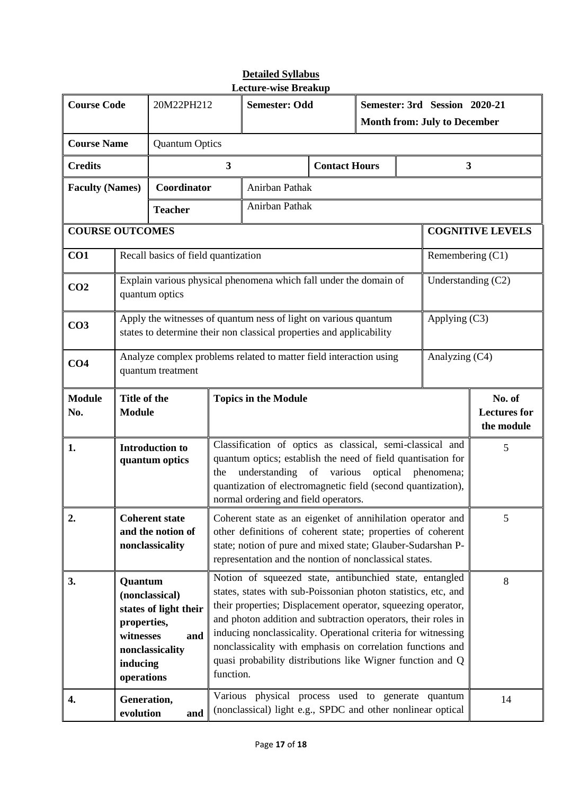| <b>Course Code</b>                    |                                                                                                                                                                                                                                                                                                                                     | 20M22PH212                                                                                                                                                                                                                                                                                                          |                         | <b>Semester: Odd</b>                                                                                                                                                                                                                                                                                                                                                                                                                                                 |                      | Semester: 3rd Session 2020-21<br><b>Month from: July to December</b> |  |                         |                                             |
|---------------------------------------|-------------------------------------------------------------------------------------------------------------------------------------------------------------------------------------------------------------------------------------------------------------------------------------------------------------------------------------|---------------------------------------------------------------------------------------------------------------------------------------------------------------------------------------------------------------------------------------------------------------------------------------------------------------------|-------------------------|----------------------------------------------------------------------------------------------------------------------------------------------------------------------------------------------------------------------------------------------------------------------------------------------------------------------------------------------------------------------------------------------------------------------------------------------------------------------|----------------------|----------------------------------------------------------------------|--|-------------------------|---------------------------------------------|
| <b>Course Name</b>                    |                                                                                                                                                                                                                                                                                                                                     | <b>Quantum Optics</b>                                                                                                                                                                                                                                                                                               |                         |                                                                                                                                                                                                                                                                                                                                                                                                                                                                      |                      |                                                                      |  |                         |                                             |
| <b>Credits</b>                        |                                                                                                                                                                                                                                                                                                                                     |                                                                                                                                                                                                                                                                                                                     | $\overline{\mathbf{3}}$ |                                                                                                                                                                                                                                                                                                                                                                                                                                                                      | <b>Contact Hours</b> |                                                                      |  | $\overline{\mathbf{3}}$ |                                             |
| <b>Faculty (Names)</b><br>Coordinator |                                                                                                                                                                                                                                                                                                                                     |                                                                                                                                                                                                                                                                                                                     | Anirban Pathak          |                                                                                                                                                                                                                                                                                                                                                                                                                                                                      |                      |                                                                      |  |                         |                                             |
| <b>Teacher</b>                        |                                                                                                                                                                                                                                                                                                                                     |                                                                                                                                                                                                                                                                                                                     |                         | Anirban Pathak                                                                                                                                                                                                                                                                                                                                                                                                                                                       |                      |                                                                      |  |                         |                                             |
| <b>COURSE OUTCOMES</b>                |                                                                                                                                                                                                                                                                                                                                     |                                                                                                                                                                                                                                                                                                                     |                         |                                                                                                                                                                                                                                                                                                                                                                                                                                                                      |                      |                                                                      |  |                         | <b>COGNITIVE LEVELS</b>                     |
| CO1                                   |                                                                                                                                                                                                                                                                                                                                     | Recall basics of field quantization                                                                                                                                                                                                                                                                                 |                         |                                                                                                                                                                                                                                                                                                                                                                                                                                                                      |                      |                                                                      |  | Remembering (C1)        |                                             |
| CO <sub>2</sub>                       |                                                                                                                                                                                                                                                                                                                                     | quantum optics                                                                                                                                                                                                                                                                                                      |                         | Explain various physical phenomena which fall under the domain of                                                                                                                                                                                                                                                                                                                                                                                                    |                      |                                                                      |  | Understanding $(C2)$    |                                             |
| CO <sub>3</sub>                       |                                                                                                                                                                                                                                                                                                                                     |                                                                                                                                                                                                                                                                                                                     |                         | Apply the witnesses of quantum ness of light on various quantum<br>states to determine their non classical properties and applicability                                                                                                                                                                                                                                                                                                                              |                      |                                                                      |  | Applying (C3)           |                                             |
| CO <sub>4</sub>                       |                                                                                                                                                                                                                                                                                                                                     | quantum treatment                                                                                                                                                                                                                                                                                                   |                         | Analyze complex problems related to matter field interaction using                                                                                                                                                                                                                                                                                                                                                                                                   |                      |                                                                      |  | Analyzing (C4)          |                                             |
| <b>Module</b><br>No.                  | Title of the<br><b>Module</b>                                                                                                                                                                                                                                                                                                       |                                                                                                                                                                                                                                                                                                                     |                         | <b>Topics in the Module</b>                                                                                                                                                                                                                                                                                                                                                                                                                                          |                      |                                                                      |  |                         | No. of<br><b>Lectures</b> for<br>the module |
| 1.                                    | Classification of optics as classical, semi-classical and<br><b>Introduction to</b><br>quantum optics; establish the need of field quantisation for<br>quantum optics<br>understanding of various optical phenomena;<br>the<br>quantization of electromagnetic field (second quantization),<br>normal ordering and field operators. |                                                                                                                                                                                                                                                                                                                     |                         |                                                                                                                                                                                                                                                                                                                                                                                                                                                                      | 5                    |                                                                      |  |                         |                                             |
| 2.                                    |                                                                                                                                                                                                                                                                                                                                     | <b>Coherent state</b><br>Coherent state as an eigenket of annihilation operator and<br>and the notion of<br>other definitions of coherent state; properties of coherent<br>state; notion of pure and mixed state; Glauber-Sudarshan P-<br>nonclassicality<br>representation and the nontion of nonclassical states. |                         |                                                                                                                                                                                                                                                                                                                                                                                                                                                                      |                      | 5                                                                    |  |                         |                                             |
| 3.                                    | Quantum<br>(nonclassical)<br>states of light their<br>properties,<br>witnesses<br>and<br>nonclassicality<br>inducing<br>operations                                                                                                                                                                                                  |                                                                                                                                                                                                                                                                                                                     |                         | Notion of squeezed state, antibunchied state, entangled<br>states, states with sub-Poissonian photon statistics, etc, and<br>their properties; Displacement operator, squeezing operator,<br>and photon addition and subtraction operators, their roles in<br>inducing nonclassicality. Operational criteria for witnessing<br>nonclassicality with emphasis on correlation functions and<br>quasi probability distributions like Wigner function and Q<br>function. |                      |                                                                      |  | 8                       |                                             |
| 4.                                    | Generation,<br>evolution                                                                                                                                                                                                                                                                                                            | and                                                                                                                                                                                                                                                                                                                 |                         | Various physical process used to generate quantum<br>(nonclassical) light e.g., SPDC and other nonlinear optical                                                                                                                                                                                                                                                                                                                                                     |                      |                                                                      |  | 14                      |                                             |